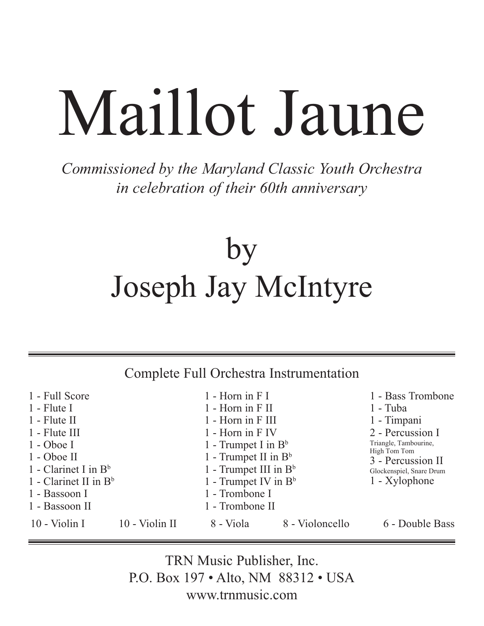# Maillot Jaune

*Commissioned by the Maryland Classic Youth Orchestra in celebration of their 60th anniversary*

## by Joseph Jay McIntyre

Complete Full Orchestra Instrumentation

| 1 - Full Score                           |                         | $1 -$ Horn in F I        |                 | 1 - Bass Trombone                                          |
|------------------------------------------|-------------------------|--------------------------|-----------------|------------------------------------------------------------|
| $1$ - Flute I                            |                         | $1 - Horn$ in $F$ II     |                 | $1$ - Tuba                                                 |
| $1 -$ Flute II                           |                         | 1 - Horn in F III        |                 | 1 - Timpani                                                |
| $1 -$ Flute III                          | 1 - Horn in F IV        |                          |                 | 2 - Percussion I                                           |
| $1 - Oboe I$                             | 1 - Trumpet I in $B^b$  |                          |                 | Triangle, Tambourine,<br>High Tom Tom<br>3 - Percussion II |
| $1 - Oboe II$<br>1 - Clarinet I in $B^b$ |                         | 1 - Trumpet II in $B^b$  |                 |                                                            |
|                                          |                         | 1 - Trumpet III in $B^b$ |                 | Glockenspiel, Snare Drum                                   |
| 1 - Clarinet II in $B^b$                 | 1 - Trumpet IV in $B^b$ |                          |                 | 1 - Xylophone                                              |
| 1 - Trombone I<br>1 - Bassoon I          |                         |                          |                 |                                                            |
| 1 - Bassoon II                           |                         | 1 - Trombone II          |                 |                                                            |
| 10 - Violin I                            | 10 - Violin II          | 8 - Viola                | 8 - Violoncello | 6 - Double Bass                                            |

TRN Music Publisher, Inc. P.O. Box 197 • Alto, NM 88312 • USA www.trnmusic.com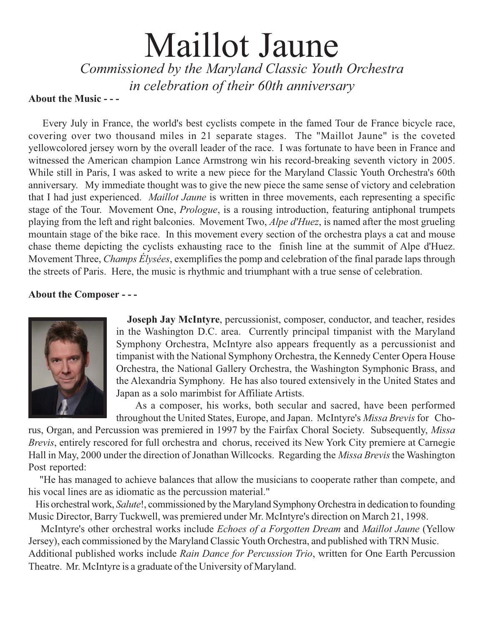## Maillot Jaune *Commissioned by the Maryland Classic Youth Orchestra in celebration of their 60th anniversary*

#### About the Music - --**About the Music - - -**

 Every July in France, the world's best cyclists compete in the famed Tour de France bicycle race, covering over two thousand miles in 21 separate stages. The "Maillot Jaune" is the coveted yellowcolored jersey worn by the overall leader of the race. I was fortunate to have been in France and witnessed the American champion Lance Armstrong win his record-breaking seventh victory in 2005. While still in Paris, I was asked to write a new piece for the Maryland Classic Youth Orchestra's 60th anniversary. My immediate thought was to give the new piece the same sense of victory and celebration that I had just experienced. *Maillot Jaune* is written in three movements, each representing a specific stage of the Tour. Movement One, *Prologue*, is a rousing introduction, featuring antiphonal trumpets playing from the left and right balconies. Movement Two, *Alpe d'Huez*, is named after the most grueling mountain stage of the bike race. In this movement every section of the orchestra plays a cat and mouse chase theme depicting the cyclists exhausting race to the finish line at the summit of Alpe d'Huez. Movement Three, *Champs Élysées*, exemplifies the pomp and celebration of the final parade laps through the streets of Paris. Here, the music is rhythmic and triumphant with a true sense of celebration.

### **About the Composer - - -**



 **Joseph Jay McIntyre**, percussionist, composer, conductor, and teacher, resides in the Washington D.C. area. Currently principal timpanist with the Maryland Symphony Orchestra, McIntyre also appears frequently as a percussionist and timpanist with the National Symphony Orchestra, the Kennedy Center Opera House Orchestra, the National Gallery Orchestra, the Washington Symphonic Brass, and the Alexandria Symphony. He has also toured extensively in the United States and Japan as a solo marimbist for Affiliate Artists.

 As a composer, his works, both secular and sacred, have been performed throughout the United States, Europe, and Japan. McIntyre's *Missa Brevis* for Cho-

rus, Organ, and Percussion was premiered in 1997 by the Fairfax Choral Society. Subsequently, *Missa Brevis*, entirely rescored for full orchestra and chorus, received its New York City premiere at Carnegie Hall in May, 2000 under the direction of Jonathan Willcocks. Regarding the *Missa Brevis* the Washington Post reported:

 "He has managed to achieve balances that allow the musicians to cooperate rather than compete, and his vocal lines are as idiomatic as the percussion material."

 His orchestral work, *Salute*!, commissioned by the Maryland Symphony Orchestra in dedication to founding Music Director, Barry Tuckwell, was premiered under Mr. McIntyre's direction on March 21, 1998.

 McIntyre's other orchestral works include *Echoes of a Forgotten Dream* and *Maillot Jaune* (Yellow Jersey), each commissioned by the Maryland Classic Youth Orchestra, and published with TRN Music. Additional published works include *Rain Dance for Percussion Trio*, written for One Earth Percussion Theatre. Mr. McIntyre is a graduate of the University of Maryland.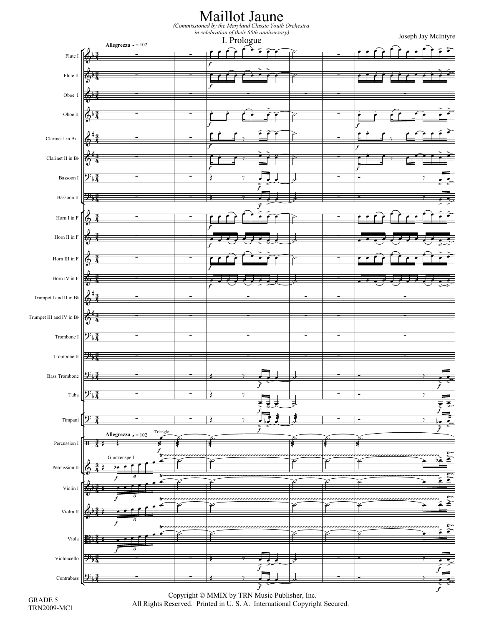

GRADE 5 TRN2009-MC1

Copyright © MMIX by TRN Music Publisher, Inc. All Rights Reserved. Printed in U. S. A. International Copyright Secured.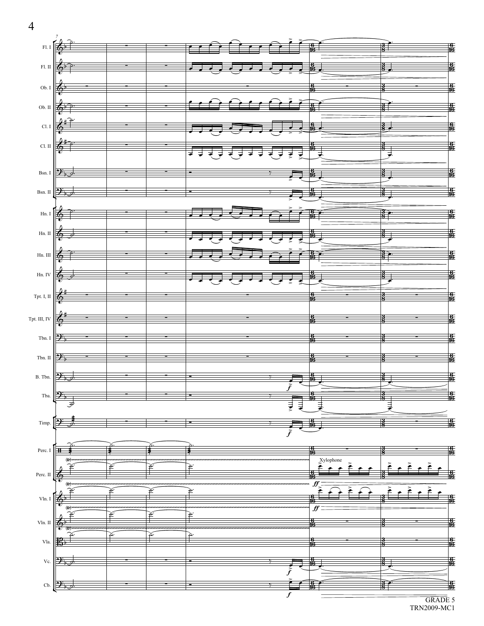

GRADE 5 TRN2009-MC1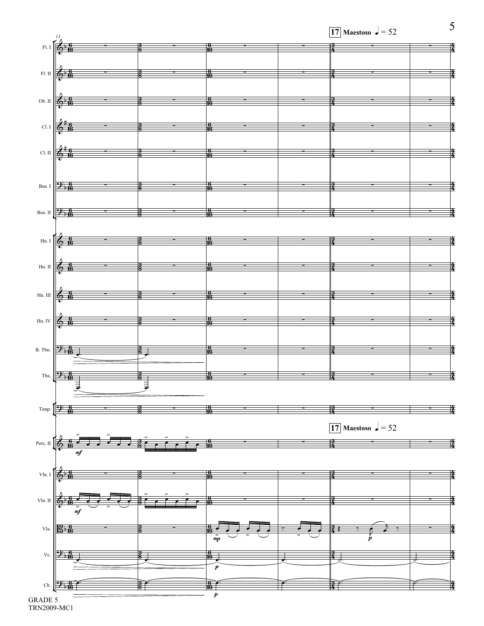